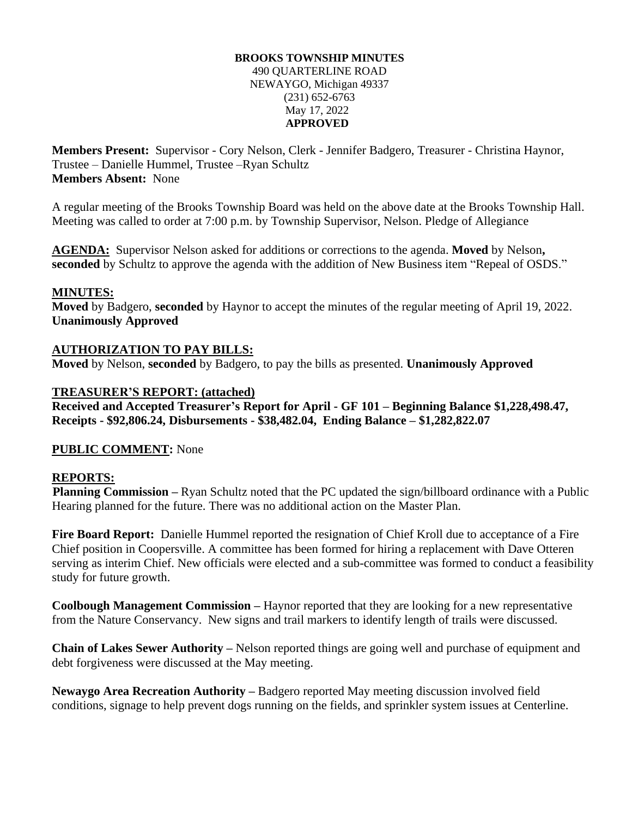#### **BROOKS TOWNSHIP MINUTES** 490 QUARTERLINE ROAD NEWAYGO, Michigan 49337 (231) 652-6763 May 17, 2022 **APPROVED**

**Members Present:** Supervisor - Cory Nelson, Clerk - Jennifer Badgero, Treasurer - Christina Haynor, Trustee – Danielle Hummel, Trustee –Ryan Schultz **Members Absent:** None

A regular meeting of the Brooks Township Board was held on the above date at the Brooks Township Hall. Meeting was called to order at 7:00 p.m. by Township Supervisor, Nelson. Pledge of Allegiance

**AGENDA:** Supervisor Nelson asked for additions or corrections to the agenda. **Moved** by Nelson**, seconded** by Schultz to approve the agenda with the addition of New Business item "Repeal of OSDS."

### **MINUTES:**

**Moved** by Badgero, **seconded** by Haynor to accept the minutes of the regular meeting of April 19, 2022. **Unanimously Approved**

### **AUTHORIZATION TO PAY BILLS:**

**Moved** by Nelson, **seconded** by Badgero, to pay the bills as presented. **Unanimously Approved**

### **TREASURER'S REPORT: (attached)**

**Received and Accepted Treasurer's Report for April - GF 101 – Beginning Balance \$1,228,498.47, Receipts - \$92,806.24, Disbursements - \$38,482.04, Ending Balance – \$1,282,822.07**

### **PUBLIC COMMENT:** None

### **REPORTS:**

**Planning Commission –** Ryan Schultz noted that the PC updated the sign/billboard ordinance with a Public Hearing planned for the future. There was no additional action on the Master Plan.

**Fire Board Report:** Danielle Hummel reported the resignation of Chief Kroll due to acceptance of a Fire Chief position in Coopersville. A committee has been formed for hiring a replacement with Dave Otteren serving as interim Chief. New officials were elected and a sub-committee was formed to conduct a feasibility study for future growth.

**Coolbough Management Commission –** Haynor reported that they are looking for a new representative from the Nature Conservancy. New signs and trail markers to identify length of trails were discussed.

**Chain of Lakes Sewer Authority –** Nelson reported things are going well and purchase of equipment and debt forgiveness were discussed at the May meeting.

**Newaygo Area Recreation Authority –** Badgero reported May meeting discussion involved field conditions, signage to help prevent dogs running on the fields, and sprinkler system issues at Centerline.